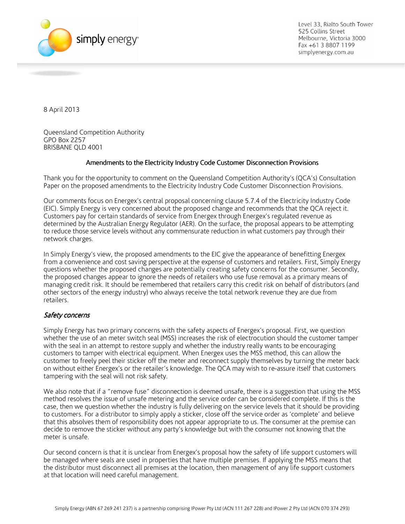

Level 33, Rialto South Tower 525 Collins Street Melbourne, Victoria 3000 Fax +61 3 8807 1199 simplyenergy.com.au

8 April 2013

Queensland Competition Authority GPO Box 2257 BRISBANE QLD 4001

## Amendments to the Electricity Industry Code Customer Disconnection Provisions

Thank you for the opportunity to comment on the Queensland Competition Authority's (QCA's) Consultation Paper on the proposed amendments to the Electricity Industry Code Customer Disconnection Provisions.

Our comments focus on Energex's central proposal concerning clause 5.7.4 of the Electricity Industry Code (EIC). Simply Energy is very concerned about the proposed change and recommends that the QCA reject it. Customers pay for certain standards of service from Energex through Energex's regulated revenue as determined by the Australian Energy Regulator (AER). On the surface, the proposal appears to be attempting to reduce those service levels without any commensurate reduction in what customers pay through their network charges.

In Simply Energy's view, the proposed amendments to the EIC give the appearance of benefitting Energex from a convenience and cost saving perspective at the expense of customers and retailers. First, Simply Energy questions whether the proposed changes are potentially creating safety concerns for the consumer. Secondly, the proposed changes appear to ignore the needs of retailers who use fuse removal as a primary means of managing credit risk. It should be remembered that retailers carry this credit risk on behalf of distributors (and other sectors of the energy industry) who always receive the total network revenue they are due from retailers.

## Safety concerns

Simply Energy has two primary concerns with the safety aspects of Energex's proposal. First, we question whether the use of an meter switch seal (MSS) increases the risk of electrocution should the customer tamper with the seal in an attempt to restore supply and whether the industry really wants to be encouraging customers to tamper with electrical equipment. When Energex uses the MSS method, this can allow the customer to freely peel their sticker off the meter and reconnect supply themselves by turning the meter back on without either Energex's or the retailer's knowledge. The QCA may wish to re-assure itself that customers tampering with the seal will not risk safety.

We also note that if a "remove fuse" disconnection is deemed unsafe, there is a suggestion that using the MSS method resolves the issue of unsafe metering and the service order can be considered complete. If this is the case, then we question whether the industry is fully delivering on the service levels that it should be providing to customers. For a distributor to simply apply a sticker, close off the service order as 'complete' and believe that this absolves them of responsibility does not appear appropriate to us. The consumer at the premise can decide to remove the sticker without any party's knowledge but with the consumer not knowing that the meter is unsafe.

Our second concern is that it is unclear from Energex's proposal how the safety of life support customers will be managed where seals are used in properties that have multiple premises. If applying the MSS means that the distributor must disconnect all premises at the location, then management of any life support customers at that location will need careful management.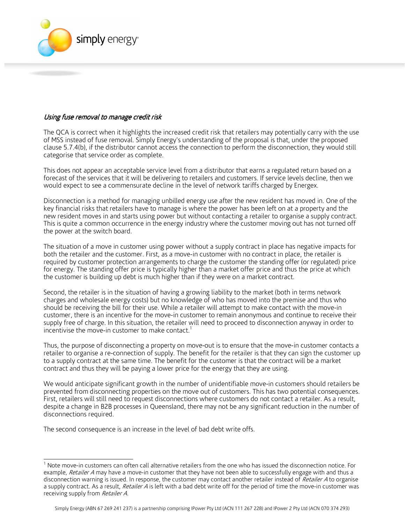

## Using fuse removal to manage credit risk

The QCA is correct when it highlights the increased credit risk that retailers may potentially carry with the use of MSS instead of fuse removal. Simply Energy's understanding of the proposal is that, under the proposed clause 5.7.4(b), if the distributor cannot access the connection to perform the disconnection, they would still categorise that service order as complete.

This does not appear an acceptable service level from a distributor that earns a regulated return based on a forecast of the services that it will be delivering to retailers and customers. If service levels decline, then we would expect to see a commensurate decline in the level of network tariffs charged by Energex.

Disconnection is a method for managing unbilled energy use after the new resident has moved in. One of the key financial risks that retailers have to manage is where the power has been left on at a property and the new resident moves in and starts using power but without contacting a retailer to organise a supply contract. This is quite a common occurrence in the energy industry where the customer moving out has not turned off the power at the switch board.

The situation of a move in customer using power without a supply contract in place has negative impacts for both the retailer and the customer. First, as a move-in customer with no contract in place, the retailer is required by customer protection arrangements to charge the customer the standing offer (or regulated) price for energy. The standing offer price is typically higher than a market offer price and thus the price at which the customer is building up debt is much higher than if they were on a market contract.

Second, the retailer is in the situation of having a growing liability to the market (both in terms network charges and wholesale energy costs) but no knowledge of who has moved into the premise and thus who should be receiving the bill for their use. While a retailer will attempt to make contact with the move-in customer, there is an incentive for the move-in customer to remain anonymous and continue to receive their supply free of charge. In this situation, the retailer will need to proceed to disconnection anyway in order to incentivise the move-in customer to make contact. $<sup>1</sup>$ </sup>

Thus, the purpose of disconnecting a property on move-out is to ensure that the move-in customer contacts a retailer to organise a re-connection of supply. The benefit for the retailer is that they can sign the customer up to a supply contract at the same time. The benefit for the customer is that the contract will be a market contract and thus they will be paying a lower price for the energy that they are using.

We would anticipate significant growth in the number of unidentifiable move-in customers should retailers be prevented from disconnecting properties on the move out of customers. This has two potential consequences. First, retailers will still need to request disconnections where customers do not contact a retailer. As a result, despite a change in B2B processes in Queensland, there may not be any significant reduction in the number of disconnections required.

The second consequence is an increase in the level of bad debt write offs.

 $\overline{\phantom{a}}$ 

<sup>1</sup> Note move-in customers can often call alternative retailers from the one who has issued the disconnection notice. For example, Retailer A may have a move-in customer that they have not been able to successfully engage with and thus a disconnection warning is issued. In response, the customer may contact another retailer instead of Retailer A to organise a supply contract. As a result, Retailer A is left with a bad debt write off for the period of time the move-in customer was receiving supply from Retailer A.